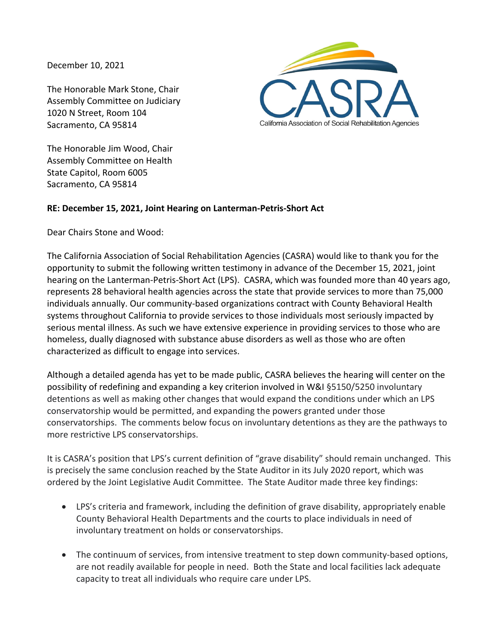December 10, 2021

The Honorable Mark Stone, Chair Assembly Committee on Judiciary 1020 N Street, Room 104 Sacramento, CA 95814



The Honorable Jim Wood, Chair Assembly Committee on Health State Capitol, Room 6005 Sacramento, CA 95814

## **RE: December 15, 2021, Joint Hearing on Lanterman-Petris-Short Act**

Dear Chairs Stone and Wood:

The California Association of Social Rehabilitation Agencies (CASRA) would like to thank you for the opportunity to submit the following written testimony in advance of the December 15, 2021, joint hearing on the Lanterman-Petris-Short Act (LPS). CASRA, which was founded more than 40 years ago, represents 28 behavioral health agencies across the state that provide services to more than 75,000 individuals annually. Our community-based organizations contract with County Behavioral Health systems throughout California to provide services to those individuals most seriously impacted by serious mental illness. As such we have extensive experience in providing services to those who are homeless, dually diagnosed with substance abuse disorders as well as those who are often characterized as difficult to engage into services.

Although a detailed agenda has yet to be made public, CASRA believes the hearing will center on the possibility of redefining and expanding a key criterion involved in W&I §5150/5250 involuntary detentions as well as making other changes that would expand the conditions under which an LPS conservatorship would be permitted, and expanding the powers granted under those conservatorships. The comments below focus on involuntary detentions as they are the pathways to more restrictive LPS conservatorships.

It is CASRA's position that LPS's current definition of "grave disability" should remain unchanged. This is precisely the same conclusion reached by the State Auditor in its July 2020 report, which was ordered by the Joint Legislative Audit Committee. The State Auditor made three key findings:

- LPS's criteria and framework, including the definition of grave disability, appropriately enable County Behavioral Health Departments and the courts to place individuals in need of involuntary treatment on holds or conservatorships.
- The continuum of services, from intensive treatment to step down community-based options, are not readily available for people in need. Both the State and local facilities lack adequate capacity to treat all individuals who require care under LPS.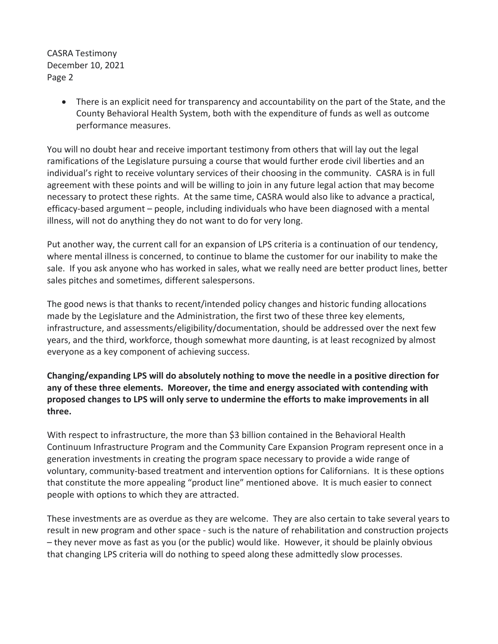CASRA Testimony December 10, 2021 Page 2

> • There is an explicit need for transparency and accountability on the part of the State, and the County Behavioral Health System, both with the expenditure of funds as well as outcome performance measures.

You will no doubt hear and receive important testimony from others that will lay out the legal ramifications of the Legislature pursuing a course that would further erode civil liberties and an individual's right to receive voluntary services of their choosing in the community. CASRA is in full agreement with these points and will be willing to join in any future legal action that may become necessary to protect these rights. At the same time, CASRA would also like to advance a practical, efficacy-based argument – people, including individuals who have been diagnosed with a mental illness, will not do anything they do not want to do for very long.

Put another way, the current call for an expansion of LPS criteria is a continuation of our tendency, where mental illness is concerned, to continue to blame the customer for our inability to make the sale. If you ask anyone who has worked in sales, what we really need are better product lines, better sales pitches and sometimes, different salespersons.

The good news is that thanks to recent/intended policy changes and historic funding allocations made by the Legislature and the Administration, the first two of these three key elements, infrastructure, and assessments/eligibility/documentation, should be addressed over the next few years, and the third, workforce, though somewhat more daunting, is at least recognized by almost everyone as a key component of achieving success.

**Changing/expanding LPS will do absolutely nothing to move the needle in a positive direction for any of these three elements. Moreover, the time and energy associated with contending with proposed changes to LPS will only serve to undermine the efforts to make improvements in all three.**

With respect to infrastructure, the more than \$3 billion contained in the Behavioral Health Continuum Infrastructure Program and the Community Care Expansion Program represent once in a generation investments in creating the program space necessary to provide a wide range of voluntary, community-based treatment and intervention options for Californians. It is these options that constitute the more appealing "product line" mentioned above. It is much easier to connect people with options to which they are attracted.

These investments are as overdue as they are welcome. They are also certain to take several years to result in new program and other space - such is the nature of rehabilitation and construction projects – they never move as fast as you (or the public) would like. However, it should be plainly obvious that changing LPS criteria will do nothing to speed along these admittedly slow processes.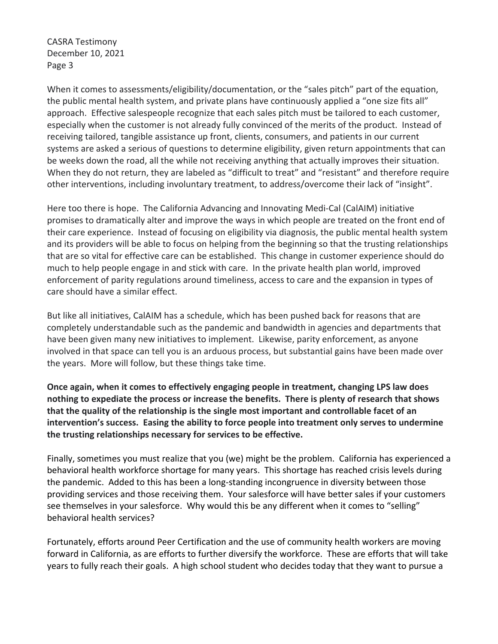CASRA Testimony December 10, 2021 Page 3

When it comes to assessments/eligibility/documentation, or the "sales pitch" part of the equation, the public mental health system, and private plans have continuously applied a "one size fits all" approach. Effective salespeople recognize that each sales pitch must be tailored to each customer, especially when the customer is not already fully convinced of the merits of the product. Instead of receiving tailored, tangible assistance up front, clients, consumers, and patients in our current systems are asked a serious of questions to determine eligibility, given return appointments that can be weeks down the road, all the while not receiving anything that actually improves their situation. When they do not return, they are labeled as "difficult to treat" and "resistant" and therefore require other interventions, including involuntary treatment, to address/overcome their lack of "insight".

Here too there is hope. The California Advancing and Innovating Medi-Cal (CalAIM) initiative promises to dramatically alter and improve the ways in which people are treated on the front end of their care experience. Instead of focusing on eligibility via diagnosis, the public mental health system and its providers will be able to focus on helping from the beginning so that the trusting relationships that are so vital for effective care can be established. This change in customer experience should do much to help people engage in and stick with care. In the private health plan world, improved enforcement of parity regulations around timeliness, access to care and the expansion in types of care should have a similar effect.

But like all initiatives, CalAIM has a schedule, which has been pushed back for reasons that are completely understandable such as the pandemic and bandwidth in agencies and departments that have been given many new initiatives to implement. Likewise, parity enforcement, as anyone involved in that space can tell you is an arduous process, but substantial gains have been made over the years. More will follow, but these things take time.

**Once again, when it comes to effectively engaging people in treatment, changing LPS law does nothing to expediate the process or increase the benefits. There is plenty of research that shows that the quality of the relationship is the single most important and controllable facet of an intervention's success. Easing the ability to force people into treatment only serves to undermine the trusting relationships necessary for services to be effective.**

Finally, sometimes you must realize that you (we) might be the problem. California has experienced a behavioral health workforce shortage for many years. This shortage has reached crisis levels during the pandemic. Added to this has been a long-standing incongruence in diversity between those providing services and those receiving them. Your salesforce will have better sales if your customers see themselves in your salesforce. Why would this be any different when it comes to "selling" behavioral health services?

Fortunately, efforts around Peer Certification and the use of community health workers are moving forward in California, as are efforts to further diversify the workforce. These are efforts that will take years to fully reach their goals. A high school student who decides today that they want to pursue a